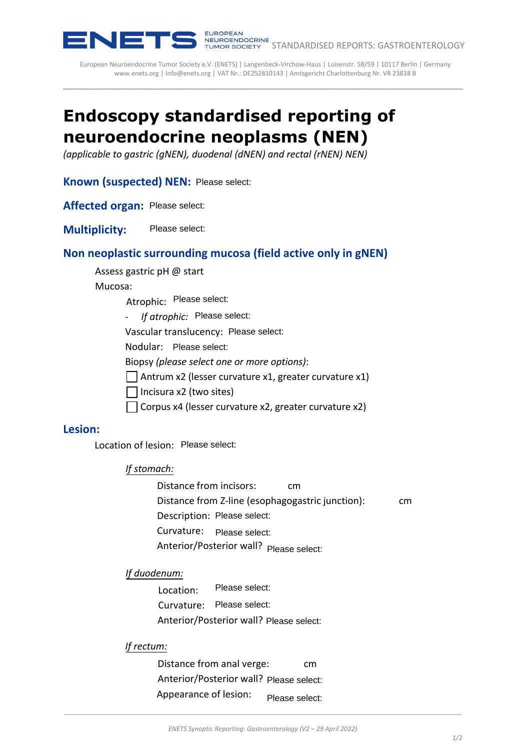

European Neuroendocrine Tumor Society e.V. (ENETS) | Langenbeck-Virchow-Haus | Luisenstr. 58/59 | 10117 Berlin | Germany [www.enets.org](http://www.enets.org/) | [Info@enets.org](mailto:Info@enets.org) | VAT Nr.: DE252810143 | Amtsgericht Charlottenburg Nr. VR 23838 B \_\_\_\_\_\_\_\_\_\_\_\_\_\_\_\_\_\_\_\_\_\_\_\_\_\_\_\_\_\_\_\_\_\_\_\_\_\_\_\_\_\_\_\_\_\_\_\_\_\_\_\_\_\_\_\_\_\_\_\_\_\_\_\_\_\_\_\_\_\_\_\_\_\_\_

# **Endoscopy standardised reporting of neuroendocrine neoplasms (NEN)**

*(applicable to gastric (gNEN), duodenal (dNEN) and rectal (rNEN) NEN)* 

**Known (suspected) NEN:**

**Affected organ:**

**Multiplicity:** 

# **Non neoplastic surrounding mucosa (field active only in gNEN)**

Assess gastric pH @ start

Mucosa:

Atrophic: Please select:

*- If atrophic:*

Vascular translucency: Please select:

Nodular: Please select:

Biopsy *(please select one or more options)*:

 $\Box$  Antrum x2 (lesser curvature x1, greater curvature x1)

 $\Box$  Incisura x2 (two sites)

Corpus x4 (lesser curvature x2, greater curvature x2)

### **Lesion:**

Location of lesion: Please select:

#### *If stomach:*

Distance from incisors: cm Distance from Z-line (esophagogastric junction): cm Description: Please select: Curvature: Anterior/Posterior wall? Please select: **rel NEW:** Please select:<br>
Please select:<br>
Please select:<br> **Please select:**<br> **CPRESE SECT UPS (Field active only in gNEN)**<br> **CPRESE SECT CONDEC:**<br>
Please select:<br>
<br>
Internative cry. Please select:<br>
<br>
Internative cry. Pleas

#### *If duodenum:*

Location: Curvature: Please select: Anterior/Posterior wall?

#### *If rectum:*

Distance from anal verge: cm Anterior/Posterior wall? Appearance of lesion: